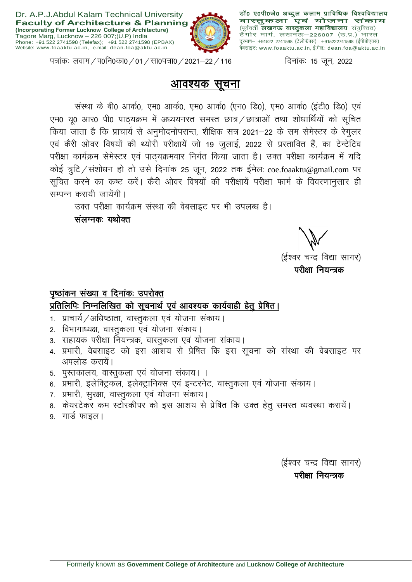

डॉ0 ए0पी0जे0 अब्दुल कलाम प्राविधिक विश्वविद्यालय वास्तुकला एवं योजना संकाय (पूर्ववर्ती लखनऊ वास्तुकला महाविद्यालय संयुक्तित) \रूपसा सेचे 19 गोरहुकरता स्वास्माराय संकुपसा)<br>टैगोर मार्ग, लखनऊ–226007 (उ.प्र.) भारत दूरभाष— +91522 2741598 (टेलीफैक्स)) +915222741598 (ईपीबीएक्स) वेंबसाइट: www.foaaktu.ac.in, ई.मेल: dean.foa@aktu.ac.in

पत्रांकः लवाम / प0नि0का0 / 01 / सा0पत्रा0 / 2021–22 / 116  $\frac{1}{\sqrt{10}}$  दिनांकः 15 जून, 2022

## <u>आवश्यक सूचना</u>

संस्था के बी0 आर्क0, एम0 आर्क0, एम0 आर्क0 (एन0 डि0), एम0 आर्क0 (इंटी0 डि0) एवं एम0 यू0 आर0 पी0 पाठ्यक्रम में अध्ययनरत समस्त छात्र / छात्राओं तथा शोधार्थियों को सूचित किया जाता है कि प्राचार्य से अनुमोदनोपरान्त, शैक्षिक सत्र 2021–22 के सम सेमेस्टर के रेगुलर एवं कैरी ओवर विषयों की थ्योरी परीक्षायें जो 19 जुलाई, 2022 से प्रस्तावित हैं, का टेन्टेटिव परीक्षा कार्यक्रम सेमेस्टर एवं पाठयक्रमवार निर्गत किया जाता है। उक्त परीक्षा कार्यक्रम में यदि कोई त्रूटि/संशोधन हो तो उसे दिनांक 25 जून, 2022 तक ईमेल coe.foaaktu@gmail.com पर सूचित करने का कष्ट करें। कैरी ओवर विषयों की परीक्षायें परीक्षा फार्म के विवरणानुसार ही सम्पन्न करायी जायेंगी।

उक्त परीक्षा कार्यक्रम संस्था की वेबसाइट पर भी उपलब्ध है।

संलग्नक: यथोक्त

्<br>(ईश्वर चन्द्र विद्या सागर) परीक्षा नियन्त्रक

# पृष्ठांकन संख्या व दिनांकः उपरोक्त प्रतिलिपिः निम्नलिखित को सूचनार्थ एवं आवश्यक कार्यवाही हेतु प्रेषित।

- $1.$  प्राचार्य / अधिष्ठाता, वास्तुकला एवं योजना संकाय।
- 2. विभागाध्यक्ष, वास्तुकला एवं योजना संकाय।
- 3. सहायक परीक्षा नियन्त्रक, वास्तुकला एवं योजना संकाय।
- 4. प्रभारी, वेबसाइट को इस आशय से प्रेषित कि इस सूचना को संस्था की वेबसाइट पर अपलोड करायें।
- 5. पुस्तकालय, वास्तुकला एवं योजना संकाय। ।
- 6. प्रभारी, इलेक्ट्रिकल, इलेक्ट्रानिक्स एवं इन्टरनेट, वास्तुकला एवं योजना संकाय।
- 7. प्रभारी, सुरक्षा, वास्तुकला एवं योजना संकाय।
- 8. केयरटेकर कम स्टोरकीपर को इस आशय से प्रेषित कि उक्त हेतु समस्त व्यवस्था करायें।
- 9. गार्ड फाइल।

(ईश्वर चन्द्र विद्या सागर) परीक्षा नियन्त्रक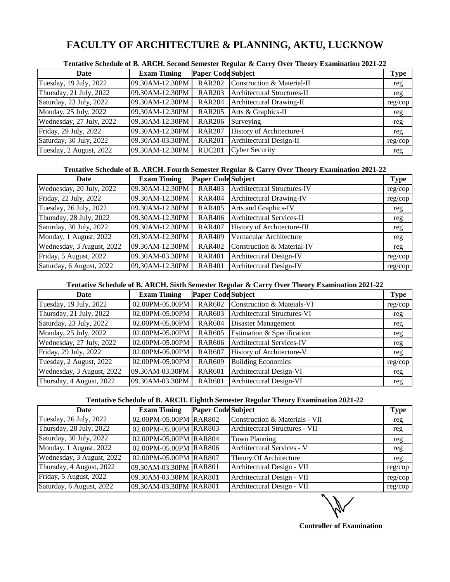### **FACULTY OF ARCHITECTURE & PLANNING, AKTU, LUCKNOW**

| Date                     | <b>Exam Timing</b> | <b>Paper Code Subject</b> |                                   | <b>Type</b> |
|--------------------------|--------------------|---------------------------|-----------------------------------|-------------|
| Tuesday, 19 July, 2022   | 09.30AM-12.30PM    |                           | RAR202 Construction & Material-II | reg         |
| Thursday, 21 July, 2022  | 09.30AM-12.30PM    | <b>RAR203</b>             | Architectural Structures-II       | reg         |
| Saturday, 23 July, 2022  | 09.30AM-12.30PM    |                           | RAR204 Architectural Drawing-II   | reg/cop     |
| Monday, 25 July, 2022    | 09.30AM-12.30PM    | <b>RAR205</b>             | Arts & Graphics-II                | reg         |
| Wednesday, 27 July, 2022 | 09.30AM-12.30PM    | <b>RAR206</b>             | Surveying                         | reg         |
| Friday, 29 July, 2022    | 09.30AM-12.30PM    | <b>RAR207</b>             | History of Architecture-I         | reg         |
| Saturday, 30 July, 2022  | 09.30AM-03.30PM    | <b>RAR201</b>             | Architectural Design-II           | reg/cop     |
| Tuesday, 2 August, 2022  | 09.30AM-12.30PM    | <b>RUC201</b>             | <b>Cyber Security</b>             | reg         |

**Tentative Schedule of B. ARCH. Second Semester Regular & Carry Over Theory Examination 2021-22**

### **Tentative Schedule of B. ARCH. Fourth Semester Regular & Carry Over Theory Examination 2021-22**

| Date                      | <b>Exam Timing</b> | <b>Paper Code Subject</b> |                             | <b>Type</b> |
|---------------------------|--------------------|---------------------------|-----------------------------|-------------|
| Wednesday, 20 July, 2022  | 09.30AM-12.30PM    | <b>RAR403</b>             | Architectural Structures-IV | reg/cop     |
| Friday, 22 July, 2022     | 09.30AM-12.30PM    | <b>RAR404</b>             | Architectural Drawing-IV    | reg/cop     |
| Tuesday, 26 July, 2022    | 09.30AM-12.30PM    | <b>RAR405</b>             | Arts and Graphics-IV        | reg         |
| Thursday, 28 July, 2022   | 09.30AM-12.30PM    | <b>RAR406</b>             | Architectural Services-II   | reg         |
| Saturday, 30 July, 2022   | 09.30AM-12.30PM    | <b>RAR407</b>             | History of Architecture-III | reg         |
| Monday, 1 August, 2022    | 09.30AM-12.30PM    | <b>RAR409</b>             | Vernacular Architecture     | reg         |
| Wednesday, 3 August, 2022 | 09.30AM-12.30PM    | <b>RAR402</b>             | Construction & Material-IV  | reg         |
| Friday, 5 August, 2022    | 09.30AM-03.30PM    | <b>RAR401</b>             | Architectural Design-IV     | reg/cop     |
| Saturday, 6 August, 2022  | 09.30AM-12.30PM    | <b>RAR401</b>             | Architectural Design-IV     | reg/cop     |

#### **Tentative Schedule of B. ARCH. Sixth Semester Regular & Carry Over Theory Examination 2021-22**

| Date                      | <b>Exam Timing</b> | <b>Paper Code Subject</b> |                                       | <b>Type</b> |
|---------------------------|--------------------|---------------------------|---------------------------------------|-------------|
| Tuesday, 19 July, 2022    | 02.00PM-05.00PM    | <b>RAR602</b>             | <b>Construction &amp; Mateials-VI</b> | reg/cop     |
| Thursday, 21 July, 2022   | 02.00PM-05.00PM    | <b>RAR603</b>             | Architectural Structures-VI           | reg         |
| Saturday, 23 July, 2022   | 02.00PM-05.00PM    | <b>RAR604</b>             | Disaster Management                   | reg         |
| Monday, 25 July, 2022     | 02.00PM-05.00PM    | <b>RAR605</b>             | Estimation & Specification            | reg         |
| Wednesday, 27 July, 2022  | 02.00PM-05.00PM    | <b>RAR606</b>             | Architectural Services-IV             | reg         |
| Friday, 29 July, 2022     | 02.00PM-05.00PM    | <b>RAR607</b>             | History of Architecture-V             | reg         |
| Tuesday, 2 August, 2022   | 02.00PM-05.00PM    | <b>RAR609</b>             | <b>Building Economics</b>             | reg/cop     |
| Wednesday, 3 August, 2022 | 09.30AM-03.30PM    | <b>RAR601</b>             | Architectural Design-VI               | reg         |
| Thursday, 4 August, 2022  | 09.30AM-03.30PM    | <b>RAR601</b>             | Architectural Design-VI               | reg         |

#### **Tentative Schedule of B. ARCH. Eightth Semester Regular Theory Examination 2021-22**

| Date                      | <b>Exam Timing</b>     | <b>Paper Code Subject</b> |                                | <b>Type</b> |
|---------------------------|------------------------|---------------------------|--------------------------------|-------------|
| Tuesday, 26 July, 2022    | 02.00PM-05.00PM RAR802 |                           | Construction & Materials - VII | reg         |
| Thursday, 28 July, 2022   | 02.00PM-05.00PM RAR803 |                           | Architectural Structures - VII | reg         |
| Saturday, 30 July, 2022   | 02.00PM-05.00PM RAR804 |                           | <b>Town Planning</b>           | reg         |
| Monday, 1 August, 2022    | 02.00PM-05.00PM RAR806 |                           | Architectural Services - V     | reg         |
| Wednesday, 3 August, 2022 | 02.00PM-05.00PM RAR807 |                           | Theory Of Architecture         | reg         |
| Thursday, 4 August, 2022  | 09.30AM-03.30PM RAR801 |                           | Architectural Design - VII     | reg/cop     |
| Friday, 5 August, 2022    | 09.30AM-03.30PM RAR801 |                           | Architectural Design - VII     | reg/cop     |
| Saturday, 6 August, 2022  | 09.30AM-03.30PM RAR801 |                           | Architectural Design - VII     | reg/cop     |

**Controller of Examination**